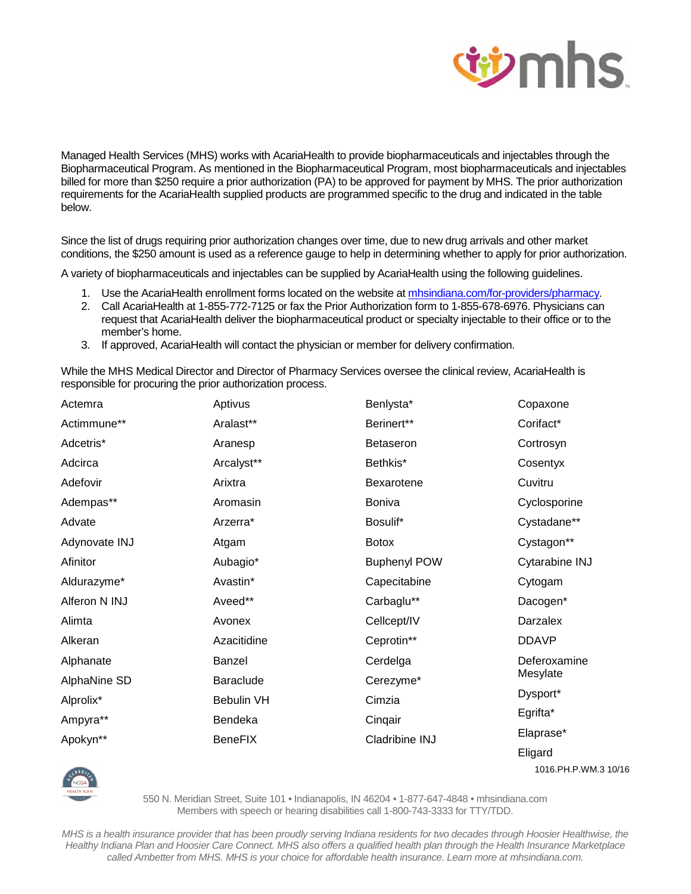

Managed Health Services (MHS) works with AcariaHealth to provide biopharmaceuticals and injectables through the Biopharmaceutical Program. As mentioned in the Biopharmaceutical Program, most biopharmaceuticals and injectables billed for more than \$250 require a prior authorization (PA) to be approved for payment by MHS. The prior authorization requirements for the AcariaHealth supplied products are programmed specific to the drug and indicated in the table below.

Since the list of drugs requiring prior authorization changes over time, due to new drug arrivals and other market conditions, the \$250 amount is used as a reference gauge to help in determining whether to apply for prior authorization.

A variety of biopharmaceuticals and injectables can be supplied by AcariaHealth using the following guidelines.

- 1. Use the AcariaHealth enrollment forms located on the website at mhsindiana.com/for-providers/pharmacy.
- 2. Call AcariaHealth at 1-855-772-7125 or fax the Prior Authorization form to 1-855-678-6976. Physicians can request that AcariaHealth deliver the biopharmaceutical product or specialty injectable to their office or to the member's home.
- 3. If approved, AcariaHealth will contact the physician or member for delivery confirmation.

While the MHS Medical Director and Director of Pharmacy Services oversee the clinical review, AcariaHealth is responsible for procuring the prior authorization process.

| Actemra       | Aptivus          | Benlysta*           | Copaxone       |
|---------------|------------------|---------------------|----------------|
| Actimmune**   | Aralast**        | Berinert**          | Corifact*      |
| Adcetris*     | Aranesp          | <b>Betaseron</b>    | Cortrosyn      |
| Adcirca       | Arcalyst**       | Bethkis*            | Cosentyx       |
| Adefovir      | Arixtra          | Bexarotene          | Cuvitru        |
| Adempas**     | Aromasin         | <b>Boniva</b>       | Cyclosporine   |
| Advate        | Arzerra*         | Bosulif*            | Cystadane**    |
| Adynovate INJ | Atgam            | <b>Botox</b>        | Cystagon**     |
| Afinitor      | Aubagio*         | <b>Buphenyl POW</b> | Cytarabine INJ |
| Aldurazyme*   | Avastin*         | Capecitabine        | Cytogam        |
| Alferon N INJ | Aveed**          | Carbaglu**          | Dacogen*       |
| Alimta        | Avonex           | Cellcept/IV         | Darzalex       |
| Alkeran       | Azacitidine      | Ceprotin**          | <b>DDAVP</b>   |
| Alphanate     | Banzel           | Cerdelga            | Deferoxamine   |
| AlphaNine SD  | <b>Baraclude</b> | Cerezyme*           | Mesylate       |
| Alprolix*     | Bebulin VH       | Cimzia              | Dysport*       |
| Ampyra**      | Bendeka          | Cinqair             | Egrifta*       |
| Apokyn**      | <b>BeneFIX</b>   | Cladribine INJ      | Elaprase*      |
|               |                  |                     | Eligard        |

1016.PH.P.WM.3 10/16



550 N. Meridian Street, Suite 101 • Indianapolis, IN 46204 • 1-877-647-4848 • mhsindiana.com Members with speech or hearing disabilities call 1-800-743-3333 for TTY/TDD.

*MHS is a health insurance provider that has been proudly serving Indiana residents for two decades through Hoosier Healthwise, the Healthy Indiana Plan and Hoosier Care Connect. MHS also offers a qualified health plan through the Health Insurance Marketplace called Ambetter from MHS. MHS is your choice for affordable health insurance. Learn more at mhsindiana.com.*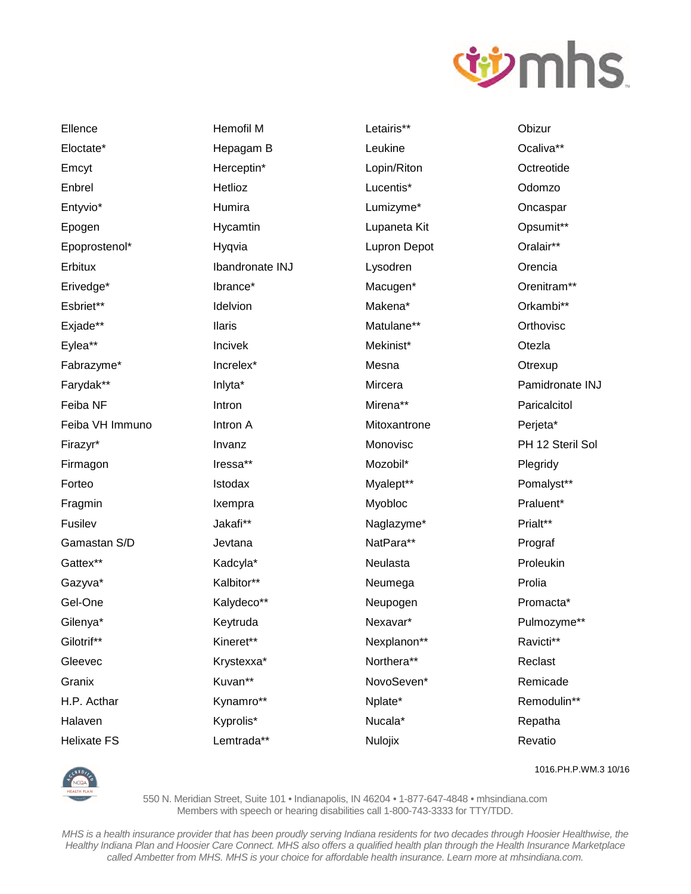

Ellence Eloctate\* Emcyt Enbrel Entyvio\* Epogen Epoprostenol\* Erbitux Erivedge\* Esbriet\*\* Exjade\*\* Eylea\*\* Fabrazyme\* Farydak\*\* Feiba NF Feiba VH Immuno Firazyr\* Firmagon Forteo Fragmin Fusilev Gamastan S/D Gattex\*\* Gazyva\* Gel-One Gilenya\* Gilotrif\*\* Gleevec Granix H.P. Acthar Halaven **Helixate FS** 

**Hemofil M** Hepagam B Herceptin\* Hetlioz Humira Hycamtin Hygvia Ibandronate INJ Ibrance\* Idelvion **Ilaris** Incivek Increlex\* Inlyta\* Intron Intron A Invanz Iressa\*\* Istodax Ixempra Jakafi\*\* Jevtana Kadcyla\* Kalbitor\*\* Kalydeco\*\* Keytruda Kineret\*\* Krystexxa\* Kuvan\*\* Kynamro\*\*

Kyprolis\*

Lemtrada\*\*

Letairis\*\* Leukine Lopin/Riton Lucentis\* Lumizyme\* Lupaneta Kit **Lupron Depot** Lysodren Macugen\* Makena\* Matulane\*\* Mekinist\* Mesna Mircera Mirena\*\* Mitoxantrone Monovisc Mozobil\* Myalept\*\* Myobloc Naglazyme\* NatPara\*\* Neulasta Neumega Neupogen Nexavar\* Nexplanon\*\* Northera\*\* NovoSeven\* Nplate\* Nucala\*

Obizur Ocaliva\*\* Octreotide Odomzo Oncaspar Opsumit\*\* Oralair\*\* Orencia Orenitram\*\* Orkambi\*\* Orthovisc Otezla Otrexup Pamidronate INJ Paricalcitol Perjeta\* PH 12 Steril Sol Plegridy Pomalyst\*\* Praluent\* Prialt\*\* Prograf Proleukin Prolia Promacta\* Pulmozyme\*\* Ravicti\*\* Reclast Remicade Remodulin\*\* Repatha Revatio



1016.PH.P.WM.3 10/16

550 N. Meridian Street, Suite 101 · Indianapolis, IN 46204 · 1-877-647-4848 · mhsindiana.com Members with speech or hearing disabilities call 1-800-743-3333 for TTY/TDD.

Nulojix

MHS is a health insurance provider that has been proudly serving Indiana residents for two decades through Hoosier Healthwise, the Healthy Indiana Plan and Hoosier Care Connect. MHS also offers a qualified health plan through the Health Insurance Marketplace called Ambetter from MHS. MHS is your choice for affordable health insurance. Learn more at mhsindiana.com.